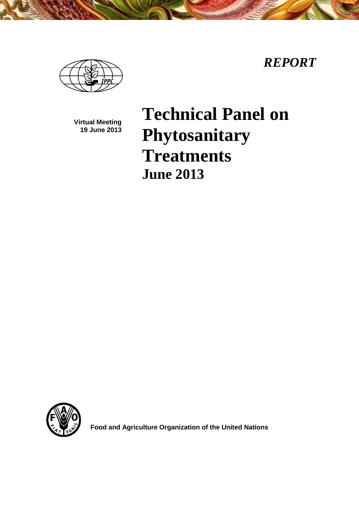*REPORT*



**Virtual Meeting 19 June 2013**

# **Technical Panel on Phytosanitary Treatments June 2013**



**Food and Agriculture Organization of the United Nations**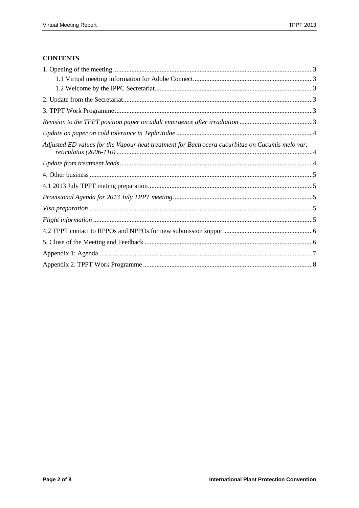# **CONTENTS**

| Adjusted ED values for the Vapour heat treatment for Bactrocera cucurbitae on Cucumis melo var. |
|-------------------------------------------------------------------------------------------------|
|                                                                                                 |
|                                                                                                 |
|                                                                                                 |
|                                                                                                 |
|                                                                                                 |
|                                                                                                 |
|                                                                                                 |
|                                                                                                 |
|                                                                                                 |
|                                                                                                 |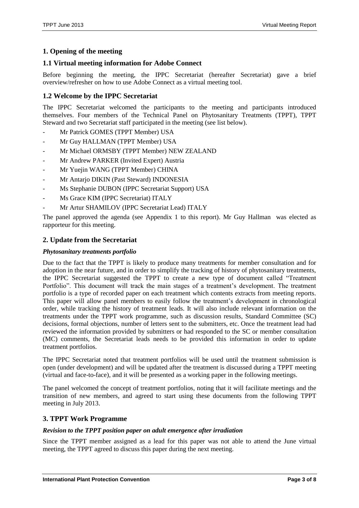# <span id="page-2-0"></span>**1. Opening of the meeting**

# <span id="page-2-1"></span>**1.1 Virtual meeting information for Adobe Connect**

Before beginning the meeting, the IPPC Secretariat (hereafter Secretariat) gave a brief overview/refresher on how to use Adobe Connect as a virtual meeting tool.

# <span id="page-2-2"></span>**1.2 Welcome by the IPPC Secretariat**

The IPPC Secretariat welcomed the participants to the meeting and participants introduced themselves. Four members of the Technical Panel on Phytosanitary Treatments (TPPT), TPPT Steward and two Secretariat staff participated in the meeting (see list below).

- Mr Patrick GOMES (TPPT Member) USA
- Mr Guy HALLMAN (TPPT Member) USA
- Mr Michael ORMSBY (TPPT Member) NEW ZEALAND
- Mr Andrew PARKER (Invited Expert) Austria
- Mr Yuejin WANG (TPPT Member) CHINA
- Mr Antarjo DIKIN (Past Steward) INDONESIA
- Ms Stephanie DUBON (IPPC Secretariat Support) USA
- Ms Grace KIM (IPPC Secretariat) ITALY
- Mr Artur SHAMILOV (IPPC Secretariat Lead) ITALY

The panel approved the agenda (see Appendix 1 to this report). Mr Guy Hallman was elected as rapporteur for this meeting.

## <span id="page-2-3"></span>**2. Update from the Secretariat**

#### *Phytosanitary treatments portfolio*

Due to the fact that the TPPT is likely to produce many treatments for member consultation and for adoption in the near future, and in order to simplify the tracking of history of phytosanitary treatments, the IPPC Secretariat suggested the TPPT to create a new type of document called "Treatment Portfolio". This document will track the main stages of a treatment's development. The treatment portfolio is a type of recorded paper on each treatment which contents extracts from meeting reports. This paper will allow panel members to easily follow the treatment's development in chronological order, while tracking the history of treatment leads. It will also include relevant information on the treatments under the TPPT work programme, such as discussion results, Standard Committee (SC) decisions, formal objections, number of letters sent to the submitters, etc. Once the treatment lead had reviewed the information provided by submitters or had responded to the SC or member consultation (MC) comments, the Secretariat leads needs to be provided this information in order to update treatment portfolios.

The IPPC Secretariat noted that treatment portfolios will be used until the treatment submission is open (under development) and will be updated after the treatment is discussed during a TPPT meeting (virtual and face-to-face), and it will be presented as a working paper in the following meetings.

The panel welcomed the concept of treatment portfolios, noting that it will facilitate meetings and the transition of new members, and agreed to start using these documents from the following TPPT meeting in July 2013.

# <span id="page-2-4"></span>**3. TPPT Work Programme**

#### <span id="page-2-5"></span>*Revision to the TPPT position paper on adult emergence after irradiation*

Since the TPPT member assigned as a lead for this paper was not able to attend the June virtual meeting, the TPPT agreed to discuss this paper during the next meeting.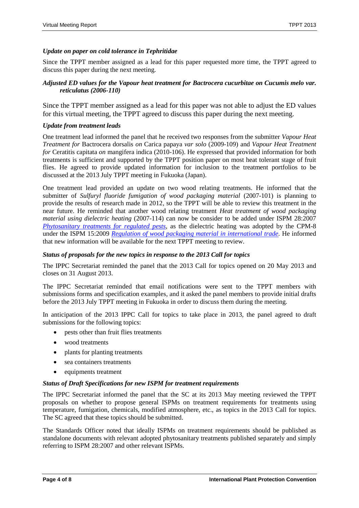### <span id="page-3-0"></span>*Update on paper on cold tolerance in Tephritidae*

Since the TPPT member assigned as a lead for this paper requested more time, the TPPT agreed to discuss this paper during the next meeting.

### <span id="page-3-1"></span>*Adjusted ED values for the Vapour heat treatment for Bactrocera cucurbitae on Cucumis melo var. reticulatus (2006-110)*

Since the TPPT member assigned as a lead for this paper was not able to adjust the ED values for this virtual meeting, the TPPT agreed to discuss this paper during the next meeting.

#### <span id="page-3-2"></span>*Update from treatment leads*

One treatment lead informed the panel that he received two responses from the submitter *Vapour Heat Treatment for* Bactrocera dorsalis *on* Carica papaya *var solo* (2009-109) and *Vapour Heat Treatment for* Ceratitis capitata *on* mangifera indica (2010-106). He expressed that provided information for both treatments is sufficient and supported by the TPPT position paper on most heat tolerant stage of fruit flies. He agreed to provide updated information for inclusion to the treatment portfolios to be discussed at the 2013 July TPPT meeting in Fukuoka (Japan).

One treatment lead provided an update on two wood relating treatments. He informed that the submitter of *Sulfuryl fluoride fumigation of wood packaging material* (2007-101) is planning to provide the results of research made in 2012, so the TPPT will be able to review this treatment in the near future. He reminded that another wood relating treatment *Heat treatment of wood packaging material using dielectric heating* (2007-114) can now be consider to be added under ISPM 28:2007 *[Phytosanitary treatments for regulated pests](https://ippc.int/publications/phytosanitary-treatments-regulated-pests)*, as the dielectric heating was adopted by the CPM-8 under the ISPM 15:2009 *Regulation of wood packaging material in international trade*. He informed that new information will be available for the next TPPT meeting to review.

#### *Status of proposals for the new topics in response to the 2013 Call for topics*

The IPPC Secretariat reminded the panel that the 2013 Call for topics opened on 20 May 2013 and closes on 31 August 2013.

The IPPC Secretariat reminded that email notifications were sent to the TPPT members with submissions forms and specification examples, and it asked the panel members to provide initial drafts before the 2013 July TPPT meeting in Fukuoka in order to discuss them during the meeting.

In anticipation of the 2013 IPPC Call for topics to take place in 2013, the panel agreed to draft submissions for the following topics:

- pests other than fruit flies treatments
- wood treatments
- plants for planting treatments
- sea containers treatments
- equipments treatment

#### *Status of Draft Specifications for new ISPM for treatment requirements*

The IPPC Secretariat informed the panel that the SC at its 2013 May meeting reviewed the TPPT proposals on whether to propose general ISPMs on treatment requirements for treatments using temperature, fumigation, chemicals, modified atmosphere, etc., as topics in the 2013 Call for topics. The SC agreed that these topics should be submitted.

The Standards Officer noted that ideally ISPMs on treatment requirements should be published as standalone documents with relevant adopted phytosanitary treatments published separately and simply referring to ISPM 28:2007 and other relevant ISPMs.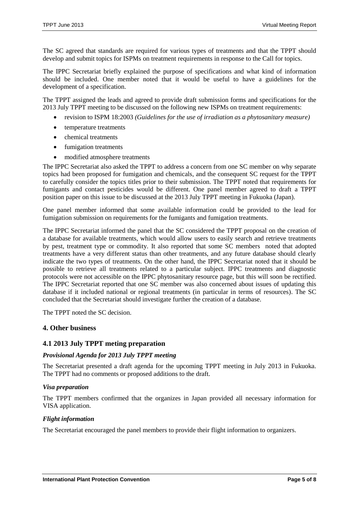The SC agreed that standards are required for various types of treatments and that the TPPT should develop and submit topics for ISPMs on treatment requirements in response to the Call for topics.

The IPPC Secretariat briefly explained the purpose of specifications and what kind of information should be included. One member noted that it would be useful to have a guidelines for the development of a specification.

The TPPT assigned the leads and agreed to provide draft submission forms and specifications for the 2013 July TPPT meeting to be discussed on the following new ISPMs on treatment requirements:

- revision to ISPM 18:2003 *(Guidelines for the use of irradiation as a phytosanitary measure)*
- temperature treatments
- chemical treatments
- fumigation treatments
- modified atmosphere treatments

The IPPC Secretariat also asked the TPPT to address a concern from one SC member on why separate topics had been proposed for fumigation and chemicals, and the consequent SC request for the TPPT to carefully consider the topics titles prior to their submission. The TPPT noted that requirements for fumigants and contact pesticides would be different. One panel member agreed to draft a TPPT position paper on this issue to be discussed at the 2013 July TPPT meeting in Fukuoka (Japan).

One panel member informed that some available information could be provided to the lead for fumigation submission on requirements for the fumigants and fumigation treatments.

The IPPC Secretariat informed the panel that the SC considered the TPPT proposal on the creation of a database for available treatments, which would allow users to easily search and retrieve treatments by pest, treatment type or commodity. It also reported that some SC members noted that adopted treatments have a very different status than other treatments, and any future database should clearly indicate the two types of treatments. On the other hand, the IPPC Secretariat noted that it should be possible to retrieve all treatments related to a particular subject. IPPC treatments and diagnostic protocols were not accessible on the IPPC phytosanitary resource page, but this will soon be rectified. The IPPC Secretariat reported that one SC member was also concerned about issues of updating this database if it included national or regional treatments (in particular in terms of resources). The SC concluded that the Secretariat should investigate further the creation of a database.

The TPPT noted the SC decision.

#### <span id="page-4-0"></span>**4. Other business**

#### <span id="page-4-1"></span>**4.1 2013 July TPPT meting preparation**

#### <span id="page-4-2"></span>*Provisional Agenda for 2013 July TPPT meeting*

The Secretariat presented a draft agenda for the upcoming TPPT meeting in July 2013 in Fukuoka. The TPPT had no comments or proposed additions to the draft.

#### <span id="page-4-3"></span>*Visa preparation*

The TPPT members confirmed that the organizes in Japan provided all necessary information for VISA application.

#### <span id="page-4-4"></span>*Flight information*

The Secretariat encouraged the panel members to provide their flight information to organizers.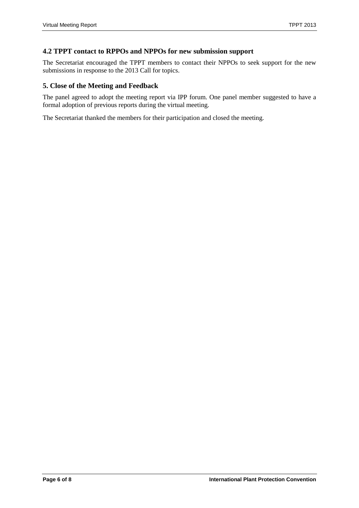# <span id="page-5-0"></span>**4.2 TPPT contact to RPPOs and NPPOs for new submission support**

The Secretariat encouraged the TPPT members to contact their NPPOs to seek support for the new submissions in response to the 2013 Call for topics.

## <span id="page-5-1"></span>**5. Close of the Meeting and Feedback**

The panel agreed to adopt the meeting report via IPP forum. One panel member suggested to have a formal adoption of previous reports during the virtual meeting.

The Secretariat thanked the members for their participation and closed the meeting.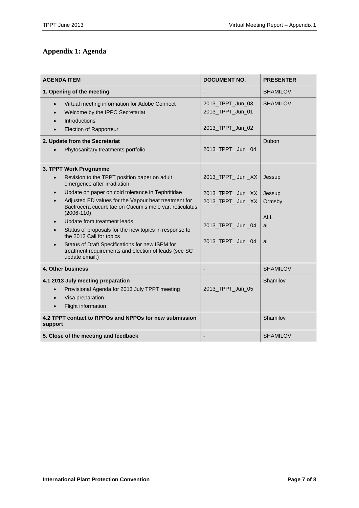# <span id="page-6-0"></span>**Appendix 1: Agenda**

| <b>AGENDA ITEM</b>                                                                                                                                                                                                                                                                                                                                                                                                                                                                                                                           | <b>DOCUMENT NO.</b>                                                                                    | <b>PRESENTER</b>                               |
|----------------------------------------------------------------------------------------------------------------------------------------------------------------------------------------------------------------------------------------------------------------------------------------------------------------------------------------------------------------------------------------------------------------------------------------------------------------------------------------------------------------------------------------------|--------------------------------------------------------------------------------------------------------|------------------------------------------------|
| 1. Opening of the meeting                                                                                                                                                                                                                                                                                                                                                                                                                                                                                                                    |                                                                                                        | <b>SHAMILOV</b>                                |
| Virtual meeting information for Adobe Connect<br>$\bullet$<br>Welcome by the IPPC Secretariat<br><b>Introductions</b><br><b>Election of Rapporteur</b>                                                                                                                                                                                                                                                                                                                                                                                       | 2013_TPPT_Jun_03<br>2013_TPPT_Jun_01<br>2013_TPPT_Jun_02                                               | <b>SHAMILOV</b>                                |
| 2. Update from the Secretariat                                                                                                                                                                                                                                                                                                                                                                                                                                                                                                               |                                                                                                        | Dubon                                          |
| Phytosanitary treatments portfolio                                                                                                                                                                                                                                                                                                                                                                                                                                                                                                           | 2013_TPPT_ Jun _04                                                                                     |                                                |
| 3. TPPT Work Programme<br>Revision to the TPPT position paper on adult<br>emergence after irradiation<br>Update on paper on cold tolerance in Tephritidae<br>Adjusted ED values for the Vapour heat treatment for<br>Bactrocera cucurbitae on Cucumis melo var. reticulatus<br>$(2006-110)$<br>Update from treatment leads<br>Status of proposals for the new topics in response to<br>the 2013 Call for topics<br>Status of Draft Specifications for new ISPM for<br>treatment requirements and election of leads (see SC<br>update email.) | 2013_TPPT_Jun_XX<br>2013_TPPT_ Jun _XX<br>2013_TPPT_Jun_XX<br>2013_TPPT_ Jun _04<br>2013_TPPT_ Jun _04 | Jessup<br>Jessup<br>Ormsby<br>AI<br>all<br>all |
| 4. Other business                                                                                                                                                                                                                                                                                                                                                                                                                                                                                                                            |                                                                                                        | <b>SHAMILOV</b>                                |
| 4.1 2013 July meeting preparation<br>Provisional Agenda for 2013 July TPPT meeting<br>Visa preparation<br>$\bullet$<br>Flight information                                                                                                                                                                                                                                                                                                                                                                                                    | 2013_TPPT_Jun_05                                                                                       | Shamilov                                       |
| 4.2 TPPT contact to RPPOs and NPPOs for new submission<br>support                                                                                                                                                                                                                                                                                                                                                                                                                                                                            |                                                                                                        | Shamilov                                       |
| 5. Close of the meeting and feedback                                                                                                                                                                                                                                                                                                                                                                                                                                                                                                         |                                                                                                        | <b>SHAMILOV</b>                                |